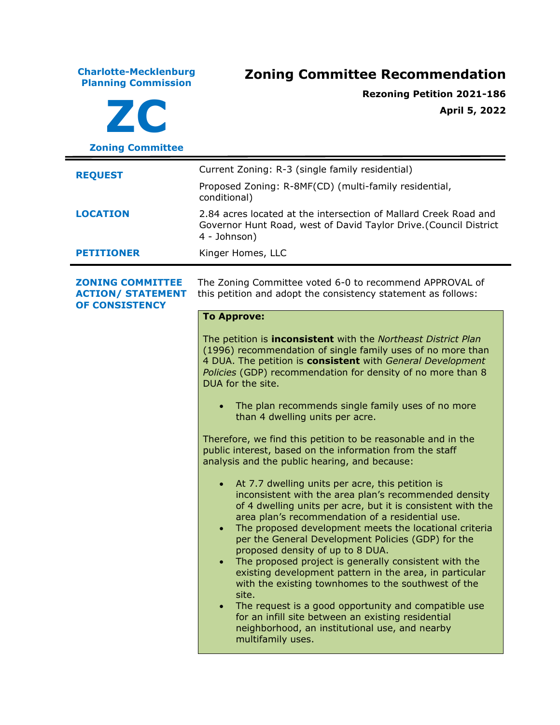**Charlotte-Mecklenburg Planning Commission Zoning Committee Recommendation ZC Zoning Committee Rezoning Petition 2021-186 April 5, 2022 REQUEST** Current Zoning: R-3 (single family residential) Proposed Zoning: R-8MF(CD) (multi-family residential, conditional) **LOCATION** 2.84 acres located at the intersection of Mallard Creek Road and Governor Hunt Road, west of David Taylor Drive.(Council District 4 - Johnson) **PETITIONER** Kinger Homes, LLC **ZONING COMMITTEE ACTION/ STATEMENT OF CONSISTENCY** The Zoning Committee voted 6-0 to recommend APPROVAL of this petition and adopt the consistency statement as follows: **To Approve:** The petition is **inconsistent** with the *Northeast District Plan* (1996) recommendation of single family uses of no more than 4 DUA. The petition is **consistent** with *General Development Policies* (GDP) recommendation for density of no more than 8 DUA for the site. • The plan recommends single family uses of no more than 4 dwelling units per acre. Therefore, we find this petition to be reasonable and in the public interest, based on the information from the staff analysis and the public hearing, and because: • At 7.7 dwelling units per acre, this petition is inconsistent with the area plan's recommended density of 4 dwelling units per acre, but it is consistent with the area plan's recommendation of a residential use. • The proposed development meets the locational criteria per the General Development Policies (GDP) for the proposed density of up to 8 DUA. • The proposed project is generally consistent with the existing development pattern in the area, in particular with the existing townhomes to the southwest of the site. • The request is a good opportunity and compatible use for an infill site between an existing residential neighborhood, an institutional use, and nearby multifamily uses.